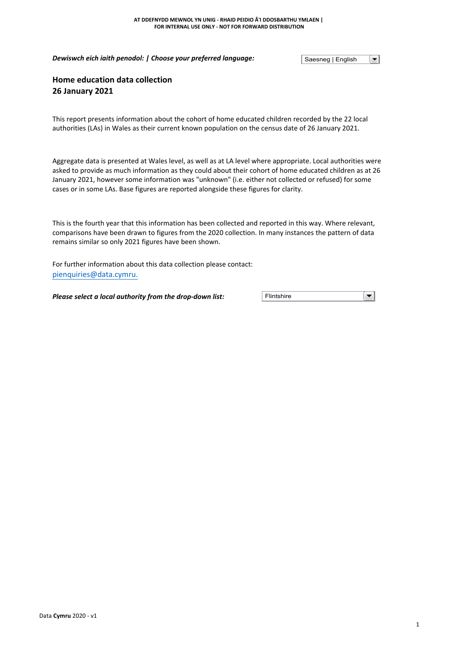*Dewiswch eich iaith penodol: | Choose your preferred language:*

Saesneg | English

 $\left[\rule{0pt}{10pt}\right.$ 

# **Home education data collection 26 January 2021**

This report presents information about the cohort of home educated children recorded by the 22 local authorities (LAs) in Wales as their current known population on the census date of 26 January 2021.

Aggregate data is presented at Wales level, as well as at LA level where appropriate. Local authorities were asked to provide as much information as they could about their cohort of home educated children as at 26 January 2021, however some information was "unknown" (i.e. either not collected or refused) for some cases or in some LAs. Base figures are reported alongside these figures for clarity.

This is the fourth year that this information has been collected and reported in this way. Where relevant, comparisons have been drawn to figures from the 2020 collection. In many instances the pattern of data remains similar so only 2021 figures have been shown.

For further information about this data collection please contact: [pienquiries@data.cymru.](mailto:pienquiries@data.cymru)

*Please select a local authority from the drop-down list:* **Flintshire** 

 $\overline{\phantom{a}}$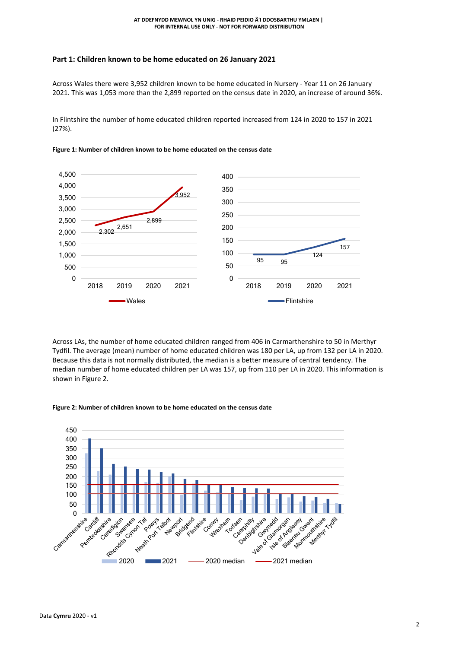# **Part 1: Children known to be home educated on 26 January 2021**

Across Wales there were 3,952 children known to be home educated in Nursery - Year 11 on 26 January 2021. This was 1,053 more than the 2,899 reported on the census date in 2020, an increase of around 36%.

In Flintshire the number of home educated children reported increased from 124 in 2020 to 157 in 2021 (27%).



**Figure 1: Number of children known to be home educated on the census date**

Across LAs, the number of home educated children ranged from 406 in Carmarthenshire to 50 in Merthyr Tydfil. The average (mean) number of home educated children was 180 per LA, up from 132 per LA in 2020. Because this data is not normally distributed, the median is a better measure of central tendency. The median number of home educated children per LA was 157, up from 110 per LA in 2020. This information is shown in Figure 2.



#### **Figure 2: Number of children known to be home educated on the census date**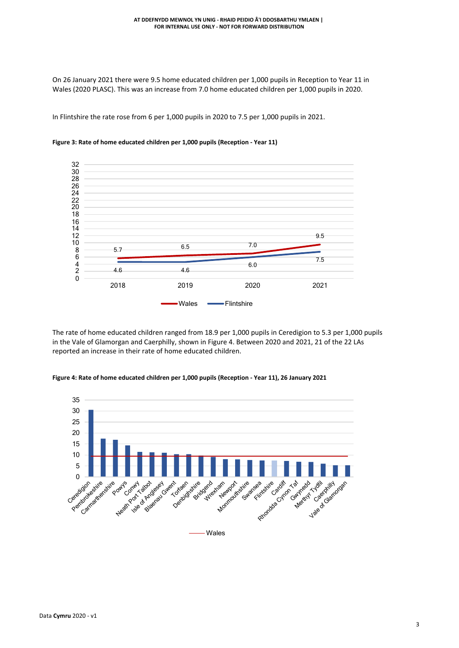On 26 January 2021 there were 9.5 home educated children per 1,000 pupils in Reception to Year 11 in Wales (2020 PLASC). This was an increase from 7.0 home educated children per 1,000 pupils in 2020.

In Flintshire the rate rose from 6 per 1,000 pupils in 2020 to 7.5 per 1,000 pupils in 2021.



## **Figure 3: Rate of home educated children per 1,000 pupils (Reception - Year 11)**

The rate of home educated children ranged from 18.9 per 1,000 pupils in Ceredigion to 5.3 per 1,000 pupils in the Vale of Glamorgan and Caerphilly, shown in Figure 4. Between 2020 and 2021, 21 of the 22 LAs reported an increase in their rate of home educated children.



#### **Figure 4: Rate of home educated children per 1,000 pupils (Reception - Year 11), 26 January 2021**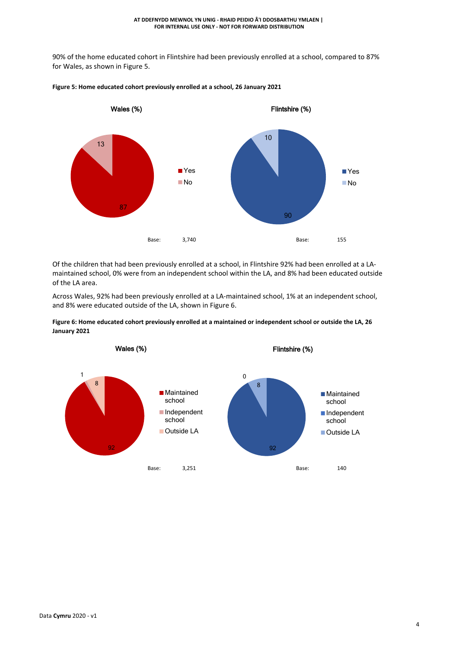90% of the home educated cohort in Flintshire had been previously enrolled at a school, compared to 87% for Wales, as shown in Figure 5.



## **Figure 5: Home educated cohort previously enrolled at a school, 26 January 2021**

Of the children that had been previously enrolled at a school, in Flintshire 92% had been enrolled at a LAmaintained school, 0% were from an independent school within the LA, and 8% had been educated outside of the LA area.

Across Wales, 92% had been previously enrolled at a LA-maintained school, 1% at an independent school, and 8% were educated outside of the LA, shown in Figure 6.

Figure 6: Home educated cohort previously enrolled at a maintained or independent school or outside the LA, 26 **January 2021**

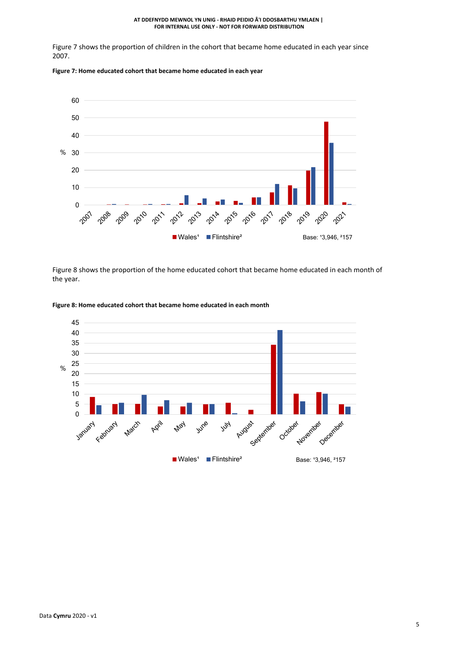#### **AT DDEFNYDD MEWNOL YN UNIG - RHAID PEIDIO Â'I DDOSBARTHU YMLAEN | FOR INTERNAL USE ONLY - NOT FOR FORWARD DISTRIBUTION**

Figure 7 shows the proportion of children in the cohort that became home educated in each year since 2007.





Figure 8 shows the proportion of the home educated cohort that became home educated in each month of the year.



### **Figure 8: Home educated cohort that became home educated in each month**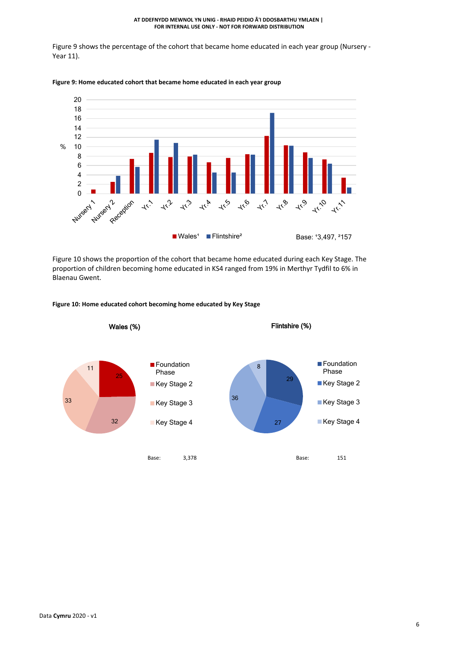#### **AT DDEFNYDD MEWNOL YN UNIG - RHAID PEIDIO Â'I DDOSBARTHU YMLAEN | FOR INTERNAL USE ONLY - NOT FOR FORWARD DISTRIBUTION**

Figure 9 shows the percentage of the cohort that became home educated in each year group (Nursery - Year 11).



### **Figure 9: Home educated cohort that became home educated in each year group**

Figure 10 shows the proportion of the cohort that became home educated during each Key Stage. The proportion of children becoming home educated in KS4 ranged from 19% in Merthyr Tydfil to 6% in Blaenau Gwent.



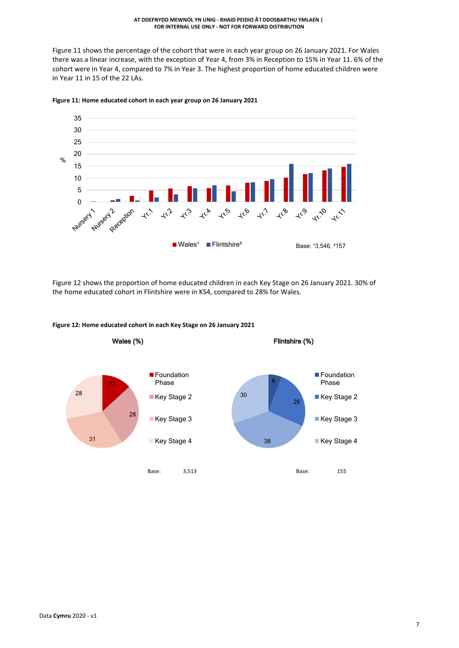Figure 11 shows the percentage of the cohort that were in each year group on 26 January 2021. For Wales there was a linear increase, with the exception of Year 4, from 3% in Reception to 15% in Year 11. 6% of the cohort were in Year 4, compared to 7% in Year 3. The highest proportion of home educated children were in Year 11 in 15 of the 22 LAs.



**Figure 11: Home educated cohort in each year group on 26 January 2021**

Figure 12 shows the proportion of home educated children in each Key Stage on 26 January 2021. 30% of the home educated cohort in Flintshire were in KS4, compared to 28% for Wales.



**Figure 12: Home educated cohort in each Key Stage on 26 January 2021**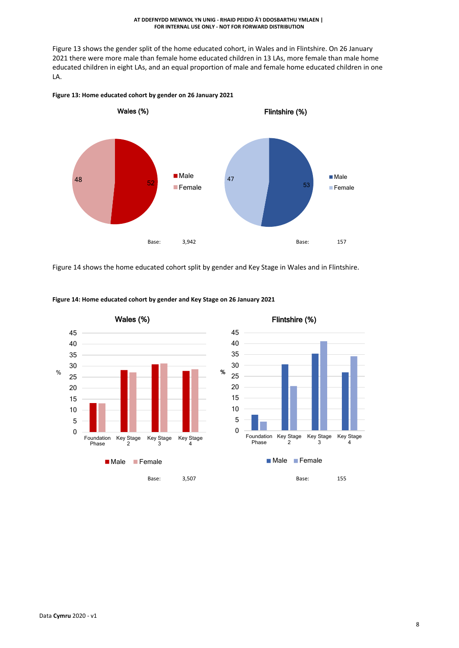Figure 13 shows the gender split of the home educated cohort, in Wales and in Flintshire. On 26 January 2021 there were more male than female home educated children in 13 LAs, more female than male home educated children in eight LAs, and an equal proportion of male and female home educated children in one LA.



**Figure 13: Home educated cohort by gender on 26 January 2021**

Figure 14 shows the home educated cohort split by gender and Key Stage in Wales and in Flintshire.



**Figure 14: Home educated cohort by gender and Key Stage on 26 January 2021**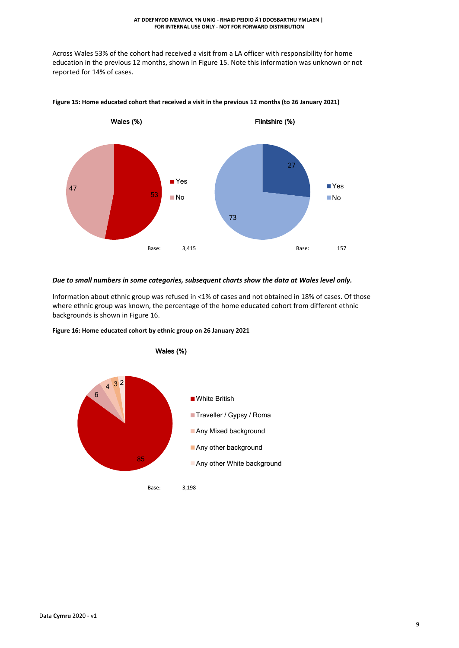Across Wales 53% of the cohort had received a visit from a LA officer with responsibility for home education in the previous 12 months, shown in Figure 15. Note this information was unknown or not reported for 14% of cases.



Figure 15: Home educated cohort that received a visit in the previous 12 months (to 26 January 2021)

## *Due to small numbers in some categories, subsequent charts show the data at Wales level only.*

Information about ethnic group was refused in <1% of cases and not obtained in 18% of cases. Of those where ethnic group was known, the percentage of the home educated cohort from different ethnic backgrounds is shown in Figure 16.

**Figure 16: Home educated cohort by ethnic group on 26 January 2021**

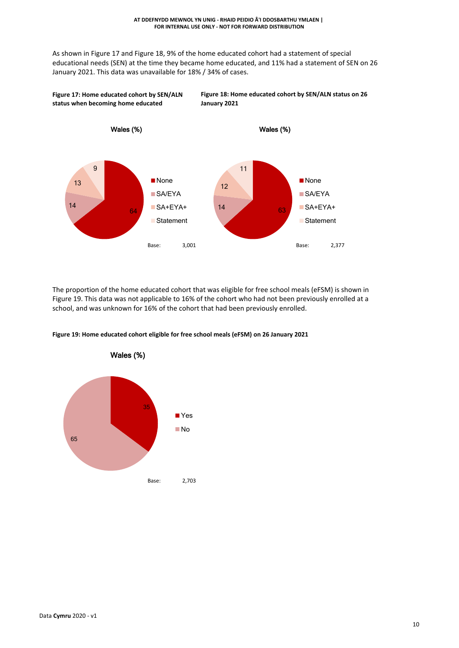**Figure 18: Home educated cohort by SEN/ALN status on 26**

As shown in Figure 17 and Figure 18, 9% of the home educated cohort had a statement of special educational needs (SEN) at the time they became home educated, and 11% had a statement of SEN on 26 January 2021. This data was unavailable for 18% / 34% of cases.



The proportion of the home educated cohort that was eligible for free school meals (eFSM) is shown in Figure 19. This data was not applicable to 16% of the cohort who had not been previously enrolled at a school, and was unknown for 16% of the cohort that had been previously enrolled.

**Figure 19: Home educated cohort eligible for free school meals (eFSM) on 26 January 2021**



**Figure 17: Home educated cohort by SEN/ALN**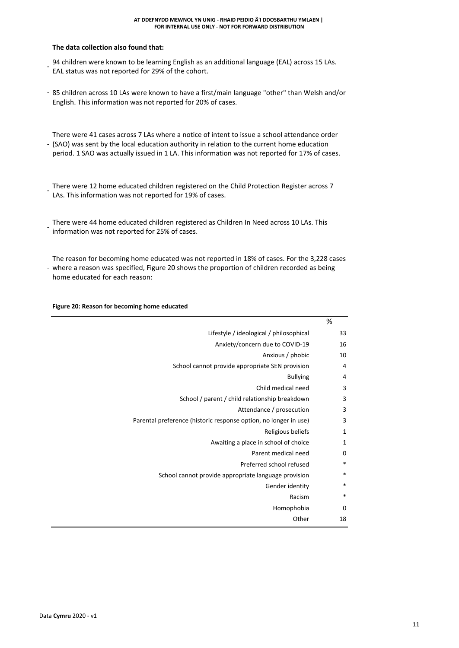#### **AT DDEFNYDD MEWNOL YN UNIG - RHAID PEIDIO Â'I DDOSBARTHU YMLAEN | FOR INTERNAL USE ONLY - NOT FOR FORWARD DISTRIBUTION**

# **The data collection also found that:**

- 94 children were known to be learning English as an additional language (EAL) across 15 LAs. EAL status was not reported for 29% of the cohort.
- 85 children across 10 LAs were known to have a first/main language "other" than Welsh and/or English. This information was not reported for 20% of cases.
- (SAO) was sent by the local education authority in relation to the current home education There were 41 cases across 7 LAs where a notice of intent to issue a school attendance order period. 1 SAO was actually issued in 1 LA. This information was not reported for 17% of cases.

- There were 12 home educated children registered on the Child Protection Register across 7 LAs. This information was not reported for 19% of cases.

- There were 44 home educated children registered as Children In Need across 10 LAs. This information was not reported for 25% of cases.
- where a reason was specified, Figure 20 shows the proportion of children recorded as being The reason for becoming home educated was not reported in 18% of cases. For the 3,228 cases home educated for each reason:

### **Figure 20: Reason for becoming home educated**

| %        |                                                                  |
|----------|------------------------------------------------------------------|
| 33       | Lifestyle / ideological / philosophical                          |
| 16       | Anxiety/concern due to COVID-19                                  |
| 10       | Anxious / phobic                                                 |
| 4        | School cannot provide appropriate SEN provision                  |
| 4        | <b>Bullying</b>                                                  |
| 3        | Child medical need                                               |
| 3        | School / parent / child relationship breakdown                   |
| 3        | Attendance / prosecution                                         |
| 3        | Parental preference (historic response option, no longer in use) |
| 1        | Religious beliefs                                                |
| 1        | Awaiting a place in school of choice                             |
| $\Omega$ | Parent medical need                                              |
| $\ast$   | Preferred school refused                                         |
| $\ast$   | School cannot provide appropriate language provision             |
| *        | Gender identity                                                  |
| *        | Racism                                                           |
| 0        | Homophobia                                                       |
| 18       | Other                                                            |
|          |                                                                  |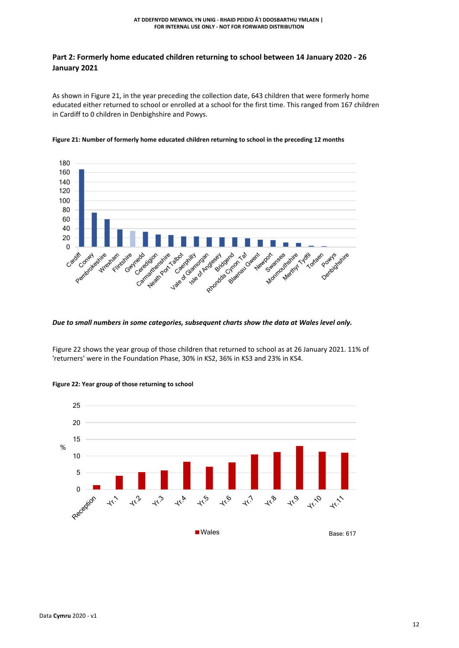# **Part 2: Formerly home educated children returning to school between 14 January 2020 - 26 January 2021**

As shown in Figure 21, in the year preceding the collection date, 643 children that were formerly home educated either returned to school or enrolled at a school for the first time. This ranged from 167 children in Cardiff to 0 children in Denbighshire and Powys.





# *Due to small numbers in some categories, subsequent charts show the data at Wales level only.*

Figure 22 shows the year group of those children that returned to school as at 26 January 2021. 11% of 'returners' were in the Foundation Phase, 30% in KS2, 36% in KS3 and 23% in KS4.



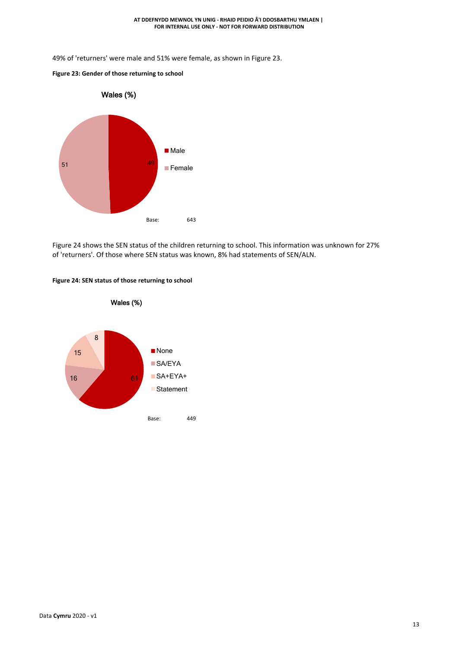49% of 'returners' were male and 51% were female, as shown in Figure 23.





Figure 24 shows the SEN status of the children returning to school. This information was unknown for 27% of 'returners'. Of those where SEN status was known, 8% had statements of SEN/ALN.



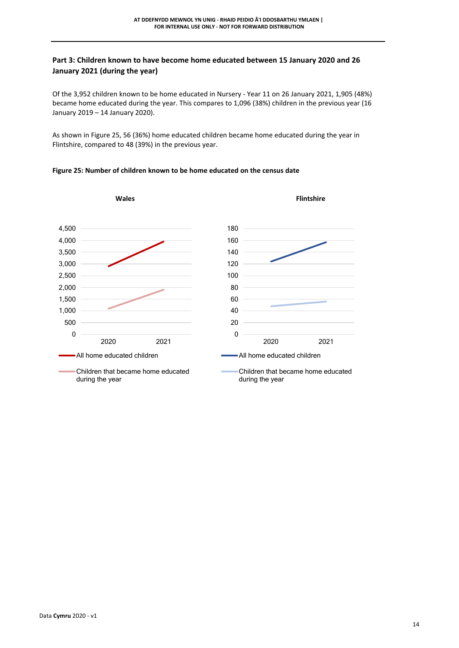# **Part 3: Children known to have become home educated between 15 January 2020 and 26 January 2021 (during the year)**

Of the 3,952 children known to be home educated in Nursery - Year 11 on 26 January 2021, 1,905 (48%) became home educated during the year. This compares to 1,096 (38%) children in the previous year (16 January 2019 – 14 January 2020).

As shown in Figure 25, 56 (36%) home educated children became home educated during the year in Flintshire, compared to 48 (39%) in the previous year.



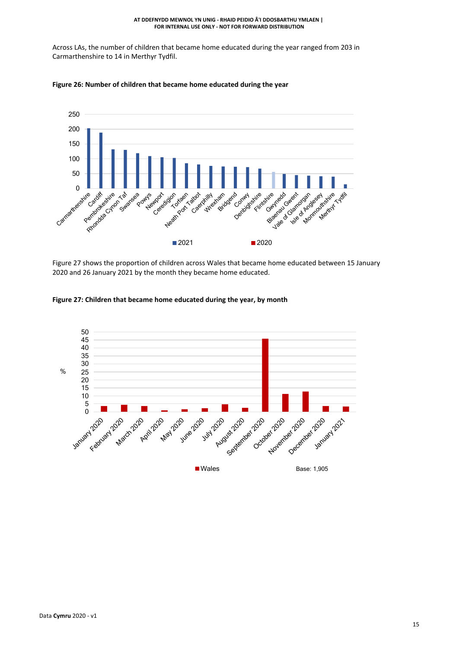Across LAs, the number of children that became home educated during the year ranged from 203 in Carmarthenshire to 14 in Merthyr Tydfil.





Figure 27 shows the proportion of children across Wales that became home educated between 15 January 2020 and 26 January 2021 by the month they became home educated.